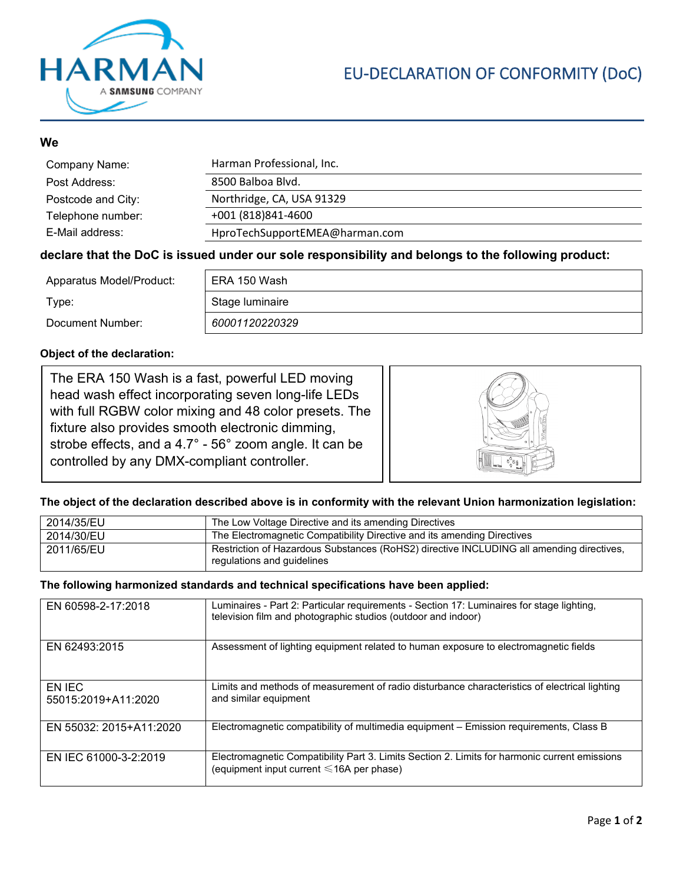

## **We**

| Company Name:      | Harman Professional, Inc.      |
|--------------------|--------------------------------|
| Post Address:      | 8500 Balboa Blvd.              |
| Postcode and City: | Northridge, CA, USA 91329      |
| Telephone number:  | +001 (818) 841-4600            |
| E-Mail address:    | HproTechSupportEMEA@harman.com |

### **declare that the DoC is issued under our sole responsibility and belongs to the following product:**

| Apparatus Model/Product: | ERA 150 Wash    |
|--------------------------|-----------------|
| Type:                    | Stage luminaire |
| Document Number:         | 60001120220329  |

### **Object of the declaration:**

The ERA 150 Wash is a fast, powerful LED moving head wash effect incorporating seven long-life LEDs with full RGBW color mixing and 48 color presets. The fixture also provides smooth electronic dimming, strobe effects, and a 4.7° - 56° zoom angle. It can be controlled by any DMX-compliant controller.



### **The object of the declaration described above is in conformity with the relevant Union harmonization legislation:**

| 2014/35/EU | The Low Voltage Directive and its amending Directives                                                                  |
|------------|------------------------------------------------------------------------------------------------------------------------|
| 2014/30/EU | The Electromagnetic Compatibility Directive and its amending Directives                                                |
| 2011/65/EU | Restriction of Hazardous Substances (RoHS2) directive INCLUDING all amending directives,<br>regulations and guidelines |

#### **The following harmonized standards and technical specifications have been applied:**

| EN 60598-2-17:2018            | Luminaires - Part 2: Particular requirements - Section 17: Luminaires for stage lighting,<br>television film and photographic studios (outdoor and indoor) |
|-------------------------------|------------------------------------------------------------------------------------------------------------------------------------------------------------|
| EN 62493:2015                 | Assessment of lighting equipment related to human exposure to electromagnetic fields                                                                       |
| EN IEC<br>55015:2019+A11:2020 | Limits and methods of measurement of radio disturbance characteristics of electrical lighting<br>and similar equipment                                     |
| EN 55032: 2015+A11:2020       | Electromagnetic compatibility of multimedia equipment – Emission requirements, Class B                                                                     |
| EN IEC 61000-3-2:2019         | Electromagnetic Compatibility Part 3. Limits Section 2. Limits for harmonic current emissions<br>(equipment input current $\leq 16A$ per phase)            |